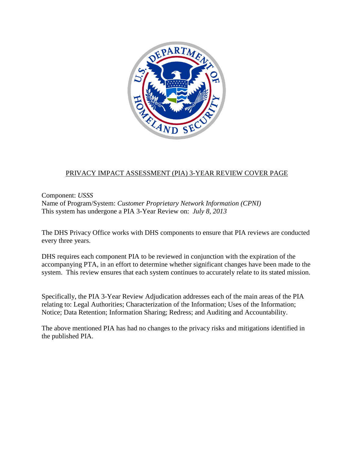

#### PRIVACY IMPACT ASSESSMENT (PIA) 3-YEAR REVIEW COVER PAGE

Component: *USSS* Name of Program/System: *Customer Proprietary Network Information (CPNI)* This system has undergone a PIA 3-Year Review on: *July 8, 2013*

The DHS Privacy Office works with DHS components to ensure that PIA reviews are conducted every three years.

DHS requires each component PIA to be reviewed in conjunction with the expiration of the accompanying PTA, in an effort to determine whether significant changes have been made to the system. This review ensures that each system continues to accurately relate to its stated mission.

Specifically, the PIA 3-Year Review Adjudication addresses each of the main areas of the PIA relating to: Legal Authorities; Characterization of the Information; Uses of the Information; Notice; Data Retention; Information Sharing; Redress; and Auditing and Accountability.

The above mentioned PIA has had no changes to the privacy risks and mitigations identified in the published PIA.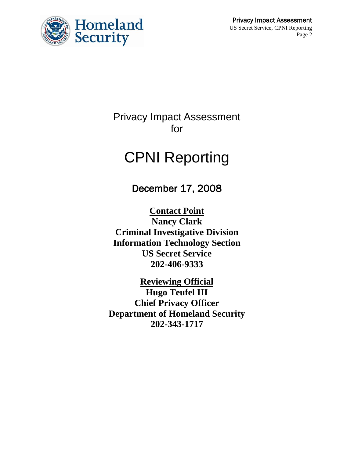

Privacy Impact Assessment for

# CPNI Reporting

December 17, 2008

**Contact Point Nancy Clark Criminal Investigative Division Information Technology Section US Secret Service 202-406-9333**

**Reviewing Official Hugo Teufel III Chief Privacy Officer Department of Homeland Security 202-343-1717**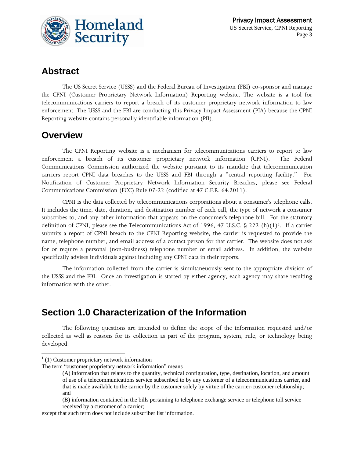

### **Abstract**

The US Secret Service (USSS) and the Federal Bureau of Investigation (FBI) co-sponsor and manage the CPNI (Customer Proprietary Network Information) Reporting website. The website is a tool for telecommunications carriers to report a breach of its customer proprietary network information to law enforcement. The USSS and the FBI are conducting this Privacy Impact Assessment (PIA) because the CPNI Reporting website contains personally identifiable information (PII).

### **Overview**

The CPNI Reporting website is a mechanism for telecommunications carriers to report to law enforcement a breach of its customer proprietary network information (CPNI). The Federal Communications Commission authorized the website pursuant to its mandate that telecommunication carriers report CPNI data breaches to the USSS and FBI through a "central reporting facility." For Notification of Customer Proprietary Network Information Security Breaches, please see Federal Communications Commission (FCC) Rule 07-22 (codified at 47 C.F.R. 64.2011).

CPNI is the data collected by telecommunications corporations about a consumer's telephone calls. It includes the time, date, duration, and destination number of each call, the type of network a consumer subscribes to, and any other information that appears on the consumer's telephone bill. For the statutory definition of CPNI, please see the Telecommunications Act of 1996, 47 U.S.C. § 222 (h)(1)<sup>1</sup>. If a carrier submits a report of CPNI breach to the CPNI Reporting website, the carrier is requested to provide the name, telephone number, and email address of a contact person for that carrier. The website does not ask for or require a personal (non-business) telephone number or email address. In addition, the website specifically advises individuals against including any CPNI data in their reports.

The information collected from the carrier is simultaneuously sent to the appropriate division of the USSS and the FBI. Once an investigation is started by either agency, each agency may share resulting information with the other.

### **Section 1.0 Characterization of the Information**

The following questions are intended to define the scope of the information requested and/or collected as well as reasons for its collection as part of the program, system, rule, or technology being developed.

l

except that such term does not include subscriber list information.

 $1(1)$  Customer proprietary network information

The term "customer proprietary network information" means—

<sup>(</sup>A) information that relates to the quantity, technical configuration, type, destination, location, and amount of use of a telecommunications service subscribed to by any customer of a telecommunications carrier, and that is made available to the carrier by the customer solely by virtue of the carrier-customer relationship; and

<sup>(</sup>B) information contained in the bills pertaining to telephone exchange service or telephone toll service received by a customer of a carrier;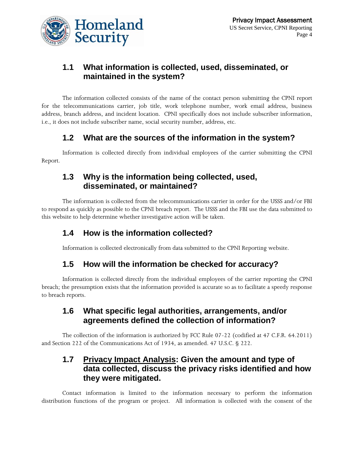

### **1.1 What information is collected, used, disseminated, or maintained in the system?**

The information collected consists of the name of the contact person submitting the CPNI report for the telecommunications carrier, job title, work telephone number, work email address, business address, branch address, and incident location. CPNI specifically does not include subscriber information, i.e., it does not include subscriber name, social security number, address, etc.

### **1.2 What are the sources of the information in the system?**

Information is collected directly from individual employees of the carrier submitting the CPNI Report.

### **1.3 Why is the information being collected, used, disseminated, or maintained?**

The information is collected from the telecommunications carrier in order for the USSS and/or FBI to respond as quickly as possible to the CPNI breach report. The USSS and the FBI use the data submitted to this website to help determine whether investigative action will be taken.

### **1.4 How is the information collected?**

Information is collected electronically from data submitted to the CPNI Reporting website.

### **1.5 How will the information be checked for accuracy?**

Information is collected directly from the individual employees of the carrier reporting the CPNI breach; the presumption exists that the information provided is accurate so as to facilitate a speedy response to breach reports.

### **1.6 What specific legal authorities, arrangements, and/or agreements defined the collection of information?**

The collection of the information is authorized by FCC Rule 07-22 (codified at 47 C.F.R. 64.2011) and Section 222 of the Communications Act of 1934, as amended. 47 U.S.C. § 222.

### **1.7 Privacy Impact Analysis: Given the amount and type of data collected, discuss the privacy risks identified and how they were mitigated.**

Contact information is limited to the information necessary to perform the information distribution functions of the program or project. All information is collected with the consent of the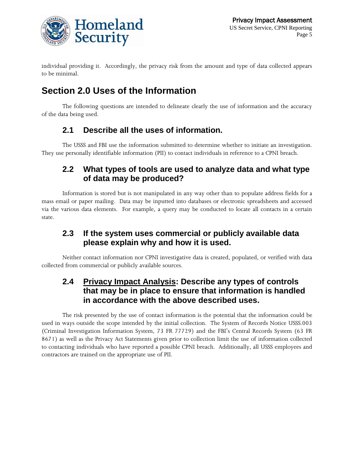

individual providing it. Accordingly, the privacy risk from the amount and type of data collected appears to be minimal.

# **Section 2.0 Uses of the Information**

The following questions are intended to delineate clearly the use of information and the accuracy of the data being used.

### **2.1 Describe all the uses of information.**

The USSS and FBI use the information submitted to determine whether to initiate an investigation. They use personally identifiable information (PII) to contact individuals in reference to a CPNI breach.

### **2.2 What types of tools are used to analyze data and what type of data may be produced?**

Information is stored but is not manipulated in any way other than to populate address fields for a mass email or paper mailing. Data may be inputted into databases or electronic spreadsheets and accessed via the various data elements. For example, a query may be conducted to locate all contacts in a certain state.

### **2.3 If the system uses commercial or publicly available data please explain why and how it is used.**

Neither contact information nor CPNI investigative data is created, populated, or verified with data collected from commercial or publicly available sources.

### **2.4 Privacy Impact Analysis: Describe any types of controls that may be in place to ensure that information is handled in accordance with the above described uses.**

The risk presented by the use of contact information is the potential that the information could be used in ways outside the scope intended by the initial collection. The System of Records Notice USSS.003 (Criminal Investigation Information System, 73 FR 77729) and the FBI's Central Records System (63 FR 8671) as well as the Privacy Act Statements given prior to collection limit the use of information collected to contacting individuals who have reported a possible CPNI breach. Additionally, all USSS employees and contractors are trained on the appropriate use of PII.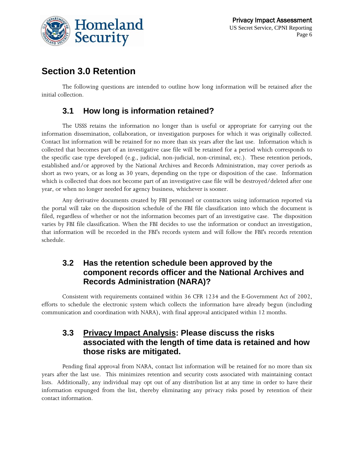

### **Section 3.0 Retention**

The following questions are intended to outline how long information will be retained after the initial collection.

### **3.1 How long is information retained?**

The USSS retains the information no longer than is useful or appropriate for carrying out the information dissemination, collaboration, or investigation purposes for which it was originally collected. Contact list information will be retained for no more than six years after the last use. Information which is collected that becomes part of an investigative case file will be retained for a period which corresponds to the specific case type developed (e.g., judicial, non-judicial, non-criminal, etc.). These retention periods, established and/or approved by the National Archives and Records Administration, may cover periods as short as two years, or as long as 30 years, depending on the type or disposition of the case. Information which is collected that does not become part of an investigative case file will be destroyed/deleted after one year, or when no longer needed for agency business, whichever is sooner.

Any derivative documents created by FBI personnel or contractors using information reported via the portal will take on the disposition schedule of the FBI file classification into which the document is filed, regardless of whether or not the information becomes part of an investigative case. The disposition varies by FBI file classification. When the FBI decides to use the information or conduct an investigation, that information will be recorded in the FBI's records system and will follow the FBI's records retention schedule.

### **3.2 Has the retention schedule been approved by the component records officer and the National Archives and Records Administration (NARA)?**

Consistent with requirements contained within 36 CFR 1234 and the E-Government Act of 2002, efforts to schedule the electronic system which collects the information have already begun (including communication and coordination with NARA), with final approval anticipated within 12 months.

#### **3.3 Privacy Impact Analysis: Please discuss the risks associated with the length of time data is retained and how those risks are mitigated.**

Pending final approval from NARA, contact list information will be retained for no more than six years after the last use. This minimizes retention and security costs associated with maintaining contact lists. Additionally, any individual may opt out of any distribution list at any time in order to have their information expunged from the list, thereby eliminating any privacy risks posed by retention of their contact information.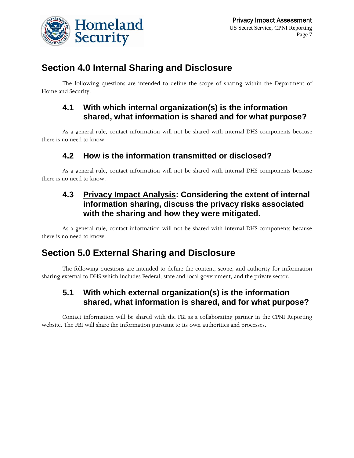

### **Section 4.0 Internal Sharing and Disclosure**

The following questions are intended to define the scope of sharing within the Department of Homeland Security.

### **4.1 With which internal organization(s) is the information shared, what information is shared and for what purpose?**

As a general rule, contact information will not be shared with internal DHS components because there is no need to know.

### **4.2 How is the information transmitted or disclosed?**

As a general rule, contact information will not be shared with internal DHS components because there is no need to know.

### **4.3 Privacy Impact Analysis: Considering the extent of internal information sharing, discuss the privacy risks associated with the sharing and how they were mitigated.**

As a general rule, contact information will not be shared with internal DHS components because there is no need to know.

### **Section 5.0 External Sharing and Disclosure**

The following questions are intended to define the content, scope, and authority for information sharing external to DHS which includes Federal, state and local government, and the private sector.

### **5.1 With which external organization(s) is the information shared, what information is shared, and for what purpose?**

Contact information will be shared with the FBI as a collaborating partner in the CPNI Reporting website. The FBI will share the information pursuant to its own authorities and processes.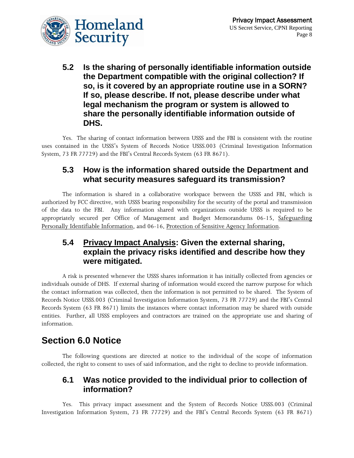

**5.2 Is the sharing of personally identifiable information outside the Department compatible with the original collection? If so, is it covered by an appropriate routine use in a SORN? If so, please describe. If not, please describe under what legal mechanism the program or system is allowed to share the personally identifiable information outside of DHS.**

Yes. The sharing of contact information between USSS and the FBI is consistent with the routine uses contained in the USSS's System of Records Notice USSS.003 (Criminal Investigation Information System, 73 FR 77729) and the FBI's Central Records System (63 FR 8671).

### **5.3 How is the information shared outside the Department and what security measures safeguard its transmission?**

The information is shared in a collaborative workspace between the USSS and FBI, which is authorized by FCC directive, with USSS bearing responsibility for the security of the portal and transmission of the data to the FBI. Any information shared with organizations outside USSS is required to be appropriately secured per Office of Management and Budget Memorandums 06-15, Safeguarding Personally Identifiable Information, and 06-16, Protection of Sensitive Agency Information.

### **5.4 Privacy Impact Analysis: Given the external sharing, explain the privacy risks identified and describe how they were mitigated.**

A risk is presented whenever the USSS shares information it has initially collected from agencies or individuals outside of DHS. If external sharing of information would exceed the narrow purpose for which the contact information was collected, then the information is not permitted to be shared. The System of Records Notice USSS.003 (Criminal Investigation Information System, 73 FR 77729) and the FBI's Central Records System (63 FR 8671) limits the instances where contact information may be shared with outside entities. Further, all USSS employees and contractors are trained on the appropriate use and sharing of information.

### **Section 6.0 Notice**

The following questions are directed at notice to the individual of the scope of information collected, the right to consent to uses of said information, and the right to decline to provide information.

### **6.1 Was notice provided to the individual prior to collection of information?**

Yes. This privacy impact assessment and the System of Records Notice USSS.003 (Criminal Investigation Information System, 73 FR 77729) and the FBI's Central Records System (63 FR 8671)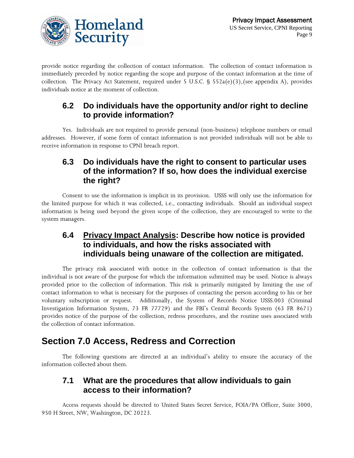

provide notice regarding the collection of contact information. The collection of contact information is immediately preceded by notice regarding the scope and purpose of the contact information at the time of collection. The Privacy Act Statement, required under 5 U.S.C. §  $552a(e)(3)$ , (see appendix A), provides individuals notice at the moment of collection.

### **6.2 Do individuals have the opportunity and/or right to decline to provide information?**

Yes. Individuals are not required to provide personal (non-business) telephone numbers or email addresses. However, if some form of contact information is not provided individuals will not be able to receive information in response to CPNI breach report.

### **6.3 Do individuals have the right to consent to particular uses of the information? If so, how does the individual exercise the right?**

Consent to use the information is implicit in its provision. USSS will only use the information for the limited purpose for which it was collected, i.e., contacting individuals. Should an individual suspect information is being used beyond the given scope of the collection, they are encouraged to write to the system managers.

### **6.4 Privacy Impact Analysis: Describe how notice is provided to individuals, and how the risks associated with individuals being unaware of the collection are mitigated.**

The privacy risk associated with notice in the collection of contact information is that the individual is not aware of the purpose for which the information submitted may be used. Notice is always provided prior to the collection of information. This risk is primarily mitigated by limiting the use of contact information to what is necessary for the purposes of contacting the person according to his or her voluntary subscription or request. Additionally, the System of Records Notice USSS.003 (Criminal Investigation Information System, 73 FR 77729) and the FBI's Central Records System (63 FR 8671) provides notice of the purpose of the collection, redress procedures, and the routine uses associated with the collection of contact information.

### **Section 7.0 Access, Redress and Correction**

The following questions are directed at an individual's ability to ensure the accuracy of the information collected about them.

### **7.1 What are the procedures that allow individuals to gain access to their information?**

Access requests should be directed to United States Secret Service, FOIA/PA Officer, Suite 3000, 950 H Street, NW, Washington, DC 20223.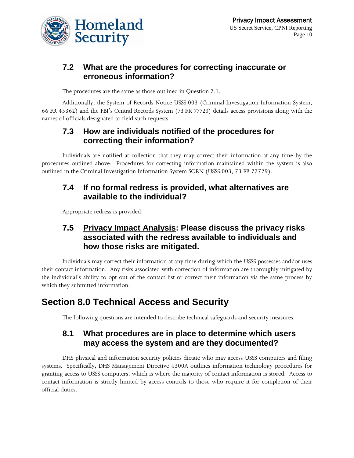

### **7.2 What are the procedures for correcting inaccurate or erroneous information?**

The procedures are the same as those outlined in Question 7.1.

Additionally, the System of Records Notice USSS.003 (Criminal Investigation Information System, 66 FR 45362) and the FBI's Central Records System (73 FR 77729) details access provisions along with the names of officials designated to field such requests.

### **7.3 How are individuals notified of the procedures for correcting their information?**

Individuals are notified at collection that they may correct their information at any time by the procedures outlined above. Procedures for correcting information maintained within the system is also outlined in the Criminal Investigation Information System SORN (USSS.003, 73 FR 77729).

#### **7.4 If no formal redress is provided, what alternatives are available to the individual?**

Appropriate redress is provided.

### **7.5 Privacy Impact Analysis: Please discuss the privacy risks associated with the redress available to individuals and how those risks are mitigated.**

Individuals may correct their information at any time during which the USSS possesses and/or uses their contact information. Any risks associated with correction of information are thoroughly mitigated by the individual's ability to opt out of the contact list or correct their information via the same process by which they submitted information.

### **Section 8.0 Technical Access and Security**

The following questions are intended to describe technical safeguards and security measures.

### **8.1 What procedures are in place to determine which users may access the system and are they documented?**

DHS physical and information security policies dictate who may access USSS computers and filing systems. Specifically, DHS Management Directive 4300A outlines information technology procedures for granting access to USSS computers, which is where the majority of contact information is stored. Access to contact information is strictly limited by access controls to those who require it for completion of their official duties.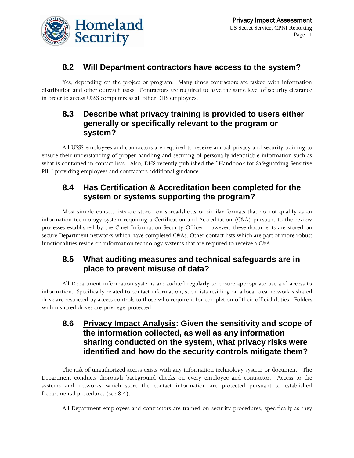

### **8.2 Will Department contractors have access to the system?**

Yes, depending on the project or program. Many times contractors are tasked with information distribution and other outreach tasks. Contractors are required to have the same level of security clearance in order to access USSS computers as all other DHS employees.

### **8.3 Describe what privacy training is provided to users either generally or specifically relevant to the program or system?**

All USSS employees and contractors are required to receive annual privacy and security training to ensure their understanding of proper handling and securing of personally identifiable information such as what is contained in contact lists. Also, DHS recently published the "Handbook for Safeguarding Sensitive PII," providing employees and contractors additional guidance.

### **8.4 Has Certification & Accreditation been completed for the system or systems supporting the program?**

Most simple contact lists are stored on spreadsheets or similar formats that do not qualify as an information technology system requiring a Certification and Accreditation (C&A) pursuant to the review processes established by the Chief Information Security Officer; however, these documents are stored on secure Department networks which have completed C&As. Other contact lists which are part of more robust functionalities reside on information technology systems that are required to receive a C&A.

### **8.5 What auditing measures and technical safeguards are in place to prevent misuse of data?**

All Department information systems are audited regularly to ensure appropriate use and access to information. Specifically related to contact information, such lists residing on a local area network's shared drive are restricted by access controls to those who require it for completion of their official duties. Folders within shared drives are privilege-protected.

### **8.6 Privacy Impact Analysis: Given the sensitivity and scope of the information collected, as well as any information sharing conducted on the system, what privacy risks were identified and how do the security controls mitigate them?**

The risk of unauthorized access exists with any information technology system or document. The Department conducts thorough background checks on every employee and contractor. Access to the systems and networks which store the contact information are protected pursuant to established Departmental procedures (see 8.4).

All Department employees and contractors are trained on security procedures, specifically as they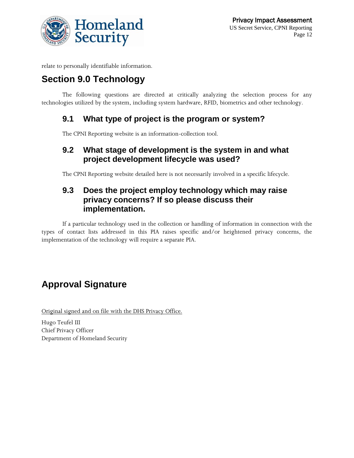

relate to personally identifiable information.

# **Section 9.0 Technology**

The following questions are directed at critically analyzing the selection process for any technologies utilized by the system, including system hardware, RFID, biometrics and other technology.

### **9.1 What type of project is the program or system?**

The CPNI Reporting website is an information-collection tool.

### **9.2 What stage of development is the system in and what project development lifecycle was used?**

The CPNI Reporting website detailed here is not necessarily involved in a specific lifecycle.

### **9.3 Does the project employ technology which may raise privacy concerns? If so please discuss their implementation.**

If a particular technology used in the collection or handling of information in connection with the types of contact lists addressed in this PIA raises specific and/or heightened privacy concerns, the implementation of the technology will require a separate PIA.

# **Approval Signature**

Original signed and on file with the DHS Privacy Office.

Hugo Teufel III Chief Privacy Officer Department of Homeland Security